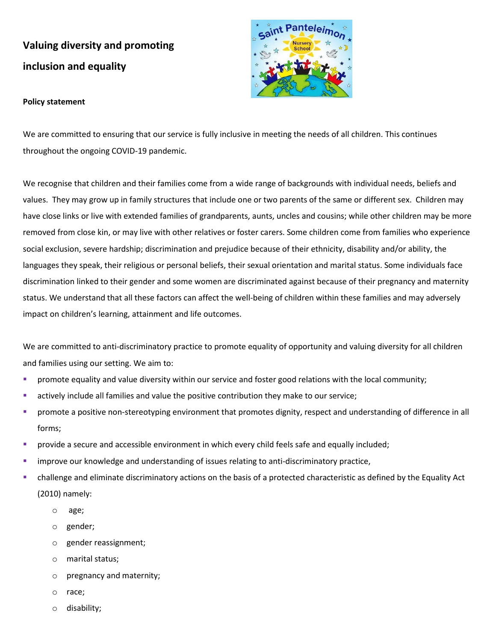# **Valuing diversity and promoting inclusion and equality**



### **Policy statement**

We are committed to ensuring that our service is fully inclusive in meeting the needs of all children. This continues throughout the ongoing COVID-19 pandemic.

We recognise that children and their families come from a wide range of backgrounds with individual needs, beliefs and values. They may grow up in family structures that include one or two parents of the same or different sex. Children may have close links or live with extended families of grandparents, aunts, uncles and cousins; while other children may be more removed from close kin, or may live with other relatives or foster carers. Some children come from families who experience social exclusion, severe hardship; discrimination and prejudice because of their ethnicity, disability and/or ability, the languages they speak, their religious or personal beliefs, their sexual orientation and marital status. Some individuals face discrimination linked to their gender and some women are discriminated against because of their pregnancy and maternity status. We understand that all these factors can affect the well-being of children within these families and may adversely impact on children's learning, attainment and life outcomes.

We are committed to anti-discriminatory practice to promote equality of opportunity and valuing diversity for all children and families using our setting. We aim to:

- promote equality and value diversity within our service and foster good relations with the local community;
- **•** actively include all families and value the positive contribution they make to our service;
- **•** promote a positive non-stereotyping environment that promotes dignity, respect and understanding of difference in all forms;
- **•** provide a secure and accessible environment in which every child feels safe and equally included;
- improve our knowledge and understanding of issues relating to anti-discriminatory practice,
- challenge and eliminate discriminatory actions on the basis of a protected characteristic as defined by the Equality Act (2010) namely:
	- o age;
	- o gender;
	- o gender reassignment;
	- o marital status;
	- o pregnancy and maternity;
	- o race;
	- o disability;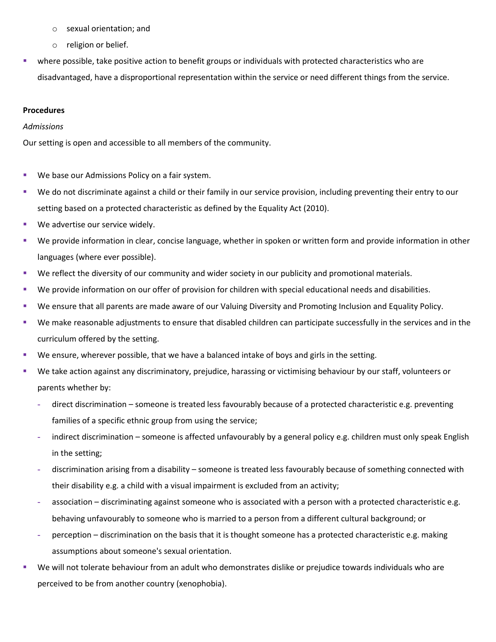- o sexual orientation; and
- o religion or belief.
- **•** where possible, take positive action to benefit groups or individuals with protected characteristics who are disadvantaged, have a disproportional representation within the service or need different things from the service.

## **Procedures**

#### *Admissions*

Our setting is open and accessible to all members of the community.

- We base our Admissions Policy on a fair system.
- We do not discriminate against a child or their family in our service provision, including preventing their entry to our setting based on a protected characteristic as defined by the Equality Act (2010).
- We advertise our service widely.
- We provide information in clear, concise language, whether in spoken or written form and provide information in other languages (where ever possible).
- We reflect the diversity of our community and wider society in our publicity and promotional materials.
- We provide information on our offer of provision for children with special educational needs and disabilities.
- We ensure that all parents are made aware of our Valuing Diversity and Promoting Inclusion and Equality Policy.
- We make reasonable adjustments to ensure that disabled children can participate successfully in the services and in the curriculum offered by the setting.
- We ensure, wherever possible, that we have a balanced intake of boys and girls in the setting.
- We take action against any discriminatory, prejudice, harassing or victimising behaviour by our staff, volunteers or parents whether by:
	- **-** direct discrimination someone is treated less favourably because of a protected characteristic e.g. preventing families of a specific ethnic group from using the service;
	- **-** indirect discrimination someone is affected unfavourably by a general policy e.g. children must only speak English in the setting;
	- **-** discrimination arising from a disability someone is treated less favourably because of something connected with their disability e.g. a child with a visual impairment is excluded from an activity;
	- **-** association discriminating against someone who is associated with a person with a protected characteristic e.g. behaving unfavourably to someone who is married to a person from a different cultural background; or
	- **-** perception discrimination on the basis that it is thought someone has a protected characteristic e.g. making assumptions about someone's sexual orientation.
- We will not tolerate behaviour from an adult who demonstrates dislike or prejudice towards individuals who are perceived to be from another country (xenophobia).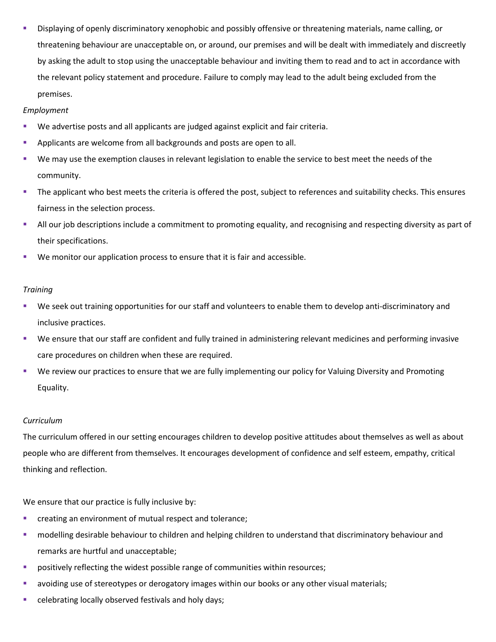▪ Displaying of openly discriminatory xenophobic and possibly offensive or threatening materials, name calling, or threatening behaviour are unacceptable on, or around, our premises and will be dealt with immediately and discreetly by asking the adult to stop using the unacceptable behaviour and inviting them to read and to act in accordance with the relevant policy statement and procedure. Failure to comply may lead to the adult being excluded from the premises.

## *Employment*

- We advertise posts and all applicants are judged against explicit and fair criteria.
- **EXECT** Applicants are welcome from all backgrounds and posts are open to all.
- We may use the exemption clauses in relevant legislation to enable the service to best meet the needs of the community.
- **The applicant who best meets the criteria is offered the post, subject to references and suitability checks. This ensures** fairness in the selection process.
- **EXECT** All our job descriptions include a commitment to promoting equality, and recognising and respecting diversity as part of their specifications.
- We monitor our application process to ensure that it is fair and accessible.

## *Training*

- We seek out training opportunities for our staff and volunteers to enable them to develop anti-discriminatory and inclusive practices.
- We ensure that our staff are confident and fully trained in administering relevant medicines and performing invasive care procedures on children when these are required.
- We review our practices to ensure that we are fully implementing our policy for Valuing Diversity and Promoting Equality.

## *Curriculum*

The curriculum offered in our setting encourages children to develop positive attitudes about themselves as well as about people who are different from themselves. It encourages development of confidence and self esteem, empathy, critical thinking and reflection.

We ensure that our practice is fully inclusive by:

- creating an environment of mutual respect and tolerance;
- modelling desirable behaviour to children and helping children to understand that discriminatory behaviour and remarks are hurtful and unacceptable;
- **•** positively reflecting the widest possible range of communities within resources;
- **■** avoiding use of stereotypes or derogatory images within our books or any other visual materials;
- celebrating locally observed festivals and holy days;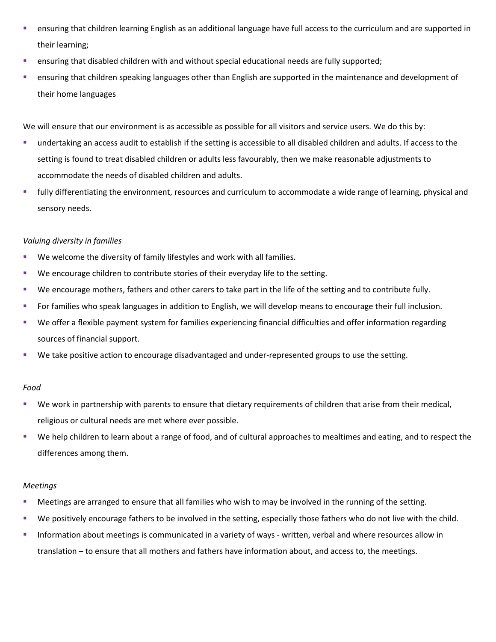- **EXED 10** ensuring that children learning English as an additional language have full access to the curriculum and are supported in their learning;
- **E** ensuring that disabled children with and without special educational needs are fully supported;
- **■** ensuring that children speaking languages other than English are supported in the maintenance and development of their home languages

We will ensure that our environment is as accessible as possible for all visitors and service users. We do this by:

- undertaking an access audit to establish if the setting is accessible to all disabled children and adults. If access to the setting is found to treat disabled children or adults less favourably, then we make reasonable adjustments to accommodate the needs of disabled children and adults.
- **.** fully differentiating the environment, resources and curriculum to accommodate a wide range of learning, physical and sensory needs.

## *Valuing diversity in families*

- We welcome the diversity of family lifestyles and work with all families.
- **•** We encourage children to contribute stories of their everyday life to the setting.
- We encourage mothers, fathers and other carers to take part in the life of the setting and to contribute fully.
- **•** For families who speak languages in addition to English, we will develop means to encourage their full inclusion.
- We offer a flexible payment system for families experiencing financial difficulties and offer information regarding sources of financial support.
- We take positive action to encourage disadvantaged and under-represented groups to use the setting.

## *Food*

- We work in partnership with parents to ensure that dietary requirements of children that arise from their medical, religious or cultural needs are met where ever possible.
- We help children to learn about a range of food, and of cultural approaches to mealtimes and eating, and to respect the differences among them.

## *Meetings*

- Meetings are arranged to ensure that all families who wish to may be involved in the running of the setting.
- We positively encourage fathers to be involved in the setting, especially those fathers who do not live with the child.
- Information about meetings is communicated in a variety of ways written, verbal and where resources allow in translation – to ensure that all mothers and fathers have information about, and access to, the meetings.